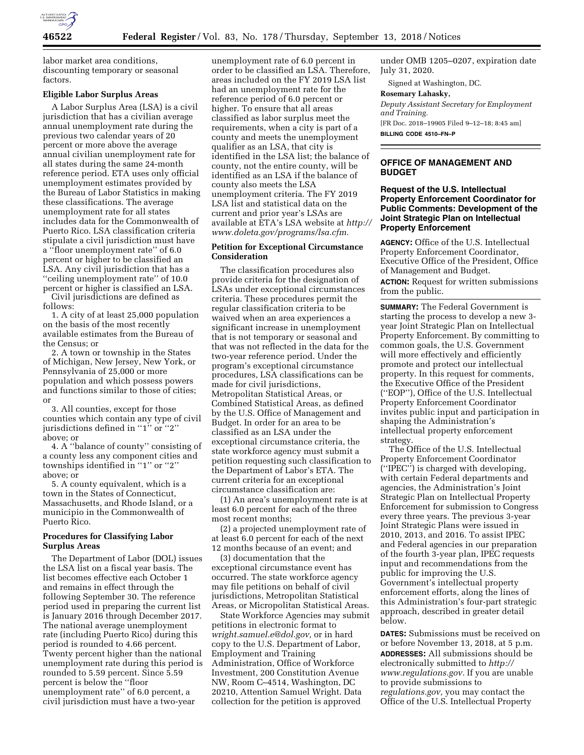

labor market area conditions, discounting temporary or seasonal factors.

#### **Eligible Labor Surplus Areas**

A Labor Surplus Area (LSA) is a civil jurisdiction that has a civilian average annual unemployment rate during the previous two calendar years of 20 percent or more above the average annual civilian unemployment rate for all states during the same 24-month reference period. ETA uses only official unemployment estimates provided by the Bureau of Labor Statistics in making these classifications. The average unemployment rate for all states includes data for the Commonwealth of Puerto Rico. LSA classification criteria stipulate a civil jurisdiction must have a ''floor unemployment rate'' of 6.0 percent or higher to be classified an LSA. Any civil jurisdiction that has a ''ceiling unemployment rate'' of 10.0 percent or higher is classified an LSA.

Civil jurisdictions are defined as follows:

1. A city of at least 25,000 population on the basis of the most recently available estimates from the Bureau of the Census; or

2. A town or township in the States of Michigan, New Jersey, New York, or Pennsylvania of 25,000 or more population and which possess powers and functions similar to those of cities; or

3. All counties, except for those counties which contain any type of civil jurisdictions defined in ''1'' or ''2'' above; or

4. A ''balance of county'' consisting of a county less any component cities and townships identified in "1" or "2" above; or

5. A county equivalent, which is a town in the States of Connecticut, Massachusetts, and Rhode Island, or a municipio in the Commonwealth of Puerto Rico.

#### **Procedures for Classifying Labor Surplus Areas**

The Department of Labor (DOL) issues the LSA list on a fiscal year basis. The list becomes effective each October 1 and remains in effect through the following September 30. The reference period used in preparing the current list is January 2016 through December 2017. The national average unemployment rate (including Puerto Rico) during this period is rounded to 4.66 percent. Twenty percent higher than the national unemployment rate during this period is rounded to 5.59 percent. Since 5.59 percent is below the ''floor unemployment rate'' of 6.0 percent, a civil jurisdiction must have a two-year

unemployment rate of 6.0 percent in order to be classified an LSA. Therefore, areas included on the FY 2019 LSA list had an unemployment rate for the reference period of 6.0 percent or higher. To ensure that all areas classified as labor surplus meet the requirements, when a city is part of a county and meets the unemployment qualifier as an LSA, that city is identified in the LSA list; the balance of county, not the entire county, will be identified as an LSA if the balance of county also meets the LSA unemployment criteria. The FY 2019 LSA list and statistical data on the current and prior year's LSAs are available at ETA's LSA website at *[http://](http://www.doleta.gov/programs/lsa.cfm)  [www.doleta.gov/programs/lsa.cfm.](http://www.doleta.gov/programs/lsa.cfm)* 

# **Petition for Exceptional Circumstance Consideration**

The classification procedures also provide criteria for the designation of LSAs under exceptional circumstances criteria. These procedures permit the regular classification criteria to be waived when an area experiences a significant increase in unemployment that is not temporary or seasonal and that was not reflected in the data for the two-year reference period. Under the program's exceptional circumstance procedures, LSA classifications can be made for civil jurisdictions, Metropolitan Statistical Areas, or Combined Statistical Areas, as defined by the U.S. Office of Management and Budget. In order for an area to be classified as an LSA under the exceptional circumstance criteria, the state workforce agency must submit a petition requesting such classification to the Department of Labor's ETA. The current criteria for an exceptional circumstance classification are:

(1) An area's unemployment rate is at least 6.0 percent for each of the three most recent months;

(2) a projected unemployment rate of at least 6.0 percent for each of the next 12 months because of an event; and

(3) documentation that the exceptional circumstance event has occurred. The state workforce agency may file petitions on behalf of civil jurisdictions, Metropolitan Statistical Areas, or Micropolitan Statistical Areas.

State Workforce Agencies may submit petitions in electronic format to *[wright.samuel.e@dol.gov,](mailto:wright.samuel.e@dol.gov)* or in hard copy to the U.S. Department of Labor, Employment and Training Administration, Office of Workforce Investment, 200 Constitution Avenue NW, Room C–4514, Washington, DC 20210, Attention Samuel Wright. Data collection for the petition is approved

under OMB 1205–0207, expiration date July 31, 2020.

Signed at Washington, DC.

# **Rosemary Lahasky,**

*Deputy Assistant Secretary for Employment and Training.* 

[FR Doc. 2018–19905 Filed 9–12–18; 8:45 am] **BILLING CODE 4510–FN–P** 

### **OFFICE OF MANAGEMENT AND BUDGET**

# **Request of the U.S. Intellectual Property Enforcement Coordinator for Public Comments: Development of the Joint Strategic Plan on Intellectual Property Enforcement**

**AGENCY:** Office of the U.S. Intellectual Property Enforcement Coordinator, Executive Office of the President, Office of Management and Budget. **ACTION:** Request for written submissions from the public.

**SUMMARY:** The Federal Government is starting the process to develop a new 3 year Joint Strategic Plan on Intellectual Property Enforcement. By committing to common goals, the U.S. Government will more effectively and efficiently promote and protect our intellectual property. In this request for comments, the Executive Office of the President (''EOP''), Office of the U.S. Intellectual Property Enforcement Coordinator invites public input and participation in shaping the Administration's intellectual property enforcement strategy.

The Office of the U.S. Intellectual Property Enforcement Coordinator (''IPEC'') is charged with developing, with certain Federal departments and agencies, the Administration's Joint Strategic Plan on Intellectual Property Enforcement for submission to Congress every three years. The previous 3-year Joint Strategic Plans were issued in 2010, 2013, and 2016. To assist IPEC and Federal agencies in our preparation of the fourth 3-year plan, IPEC requests input and recommendations from the public for improving the U.S. Government's intellectual property enforcement efforts, along the lines of this Administration's four-part strategic approach, described in greater detail below.

**DATES:** Submissions must be received on or before November 13, 2018, at 5 p.m. **ADDRESSES:** All submissions should be electronically submitted to *[http://](http://www.regulations.gov) [www.regulations.gov.](http://www.regulations.gov)* If you are unable to provide submissions to *regulations.gov,* you may contact the Office of the U.S. Intellectual Property